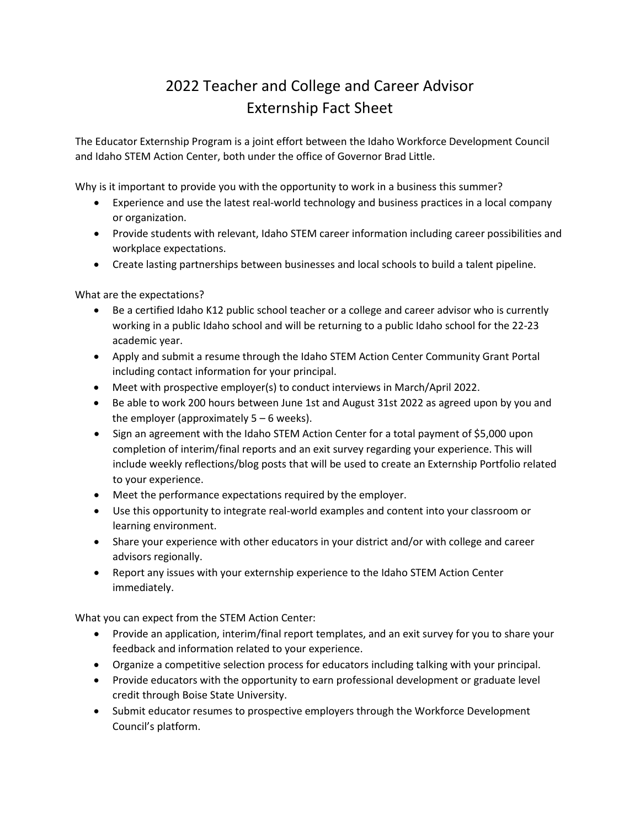## 2022 Teacher and College and Career Advisor Externship Fact Sheet

The Educator Externship Program is a joint effort between the Idaho Workforce Development Council and Idaho STEM Action Center, both under the office of Governor Brad Little.

Why is it important to provide you with the opportunity to work in a business this summer?

- Experience and use the latest real-world technology and business practices in a local company or organization.
- Provide students with relevant, Idaho STEM career information including career possibilities and workplace expectations.
- Create lasting partnerships between businesses and local schools to build a talent pipeline.

What are the expectations?

- Be a certified Idaho K12 public school teacher or a college and career advisor who is currently working in a public Idaho school and will be returning to a public Idaho school for the 22-23 academic year.
- Apply and submit a resume through the Idaho STEM Action Center Community Grant Portal including contact information for your principal.
- Meet with prospective employer(s) to conduct interviews in March/April 2022.
- Be able to work 200 hours between June 1st and August 31st 2022 as agreed upon by you and the employer (approximately  $5 - 6$  weeks).
- Sign an agreement with the Idaho STEM Action Center for a total payment of \$5,000 upon completion of interim/final reports and an exit survey regarding your experience. This will include weekly reflections/blog posts that will be used to create an Externship Portfolio related to your experience.
- Meet the performance expectations required by the employer.
- Use this opportunity to integrate real-world examples and content into your classroom or learning environment.
- Share your experience with other educators in your district and/or with college and career advisors regionally.
- Report any issues with your externship experience to the Idaho STEM Action Center immediately.

What you can expect from the STEM Action Center:

- Provide an application, interim/final report templates, and an exit survey for you to share your feedback and information related to your experience.
- Organize a competitive selection process for educators including talking with your principal.
- Provide educators with the opportunity to earn professional development or graduate level credit through Boise State University.
- Submit educator resumes to prospective employers through the Workforce Development Council's platform.